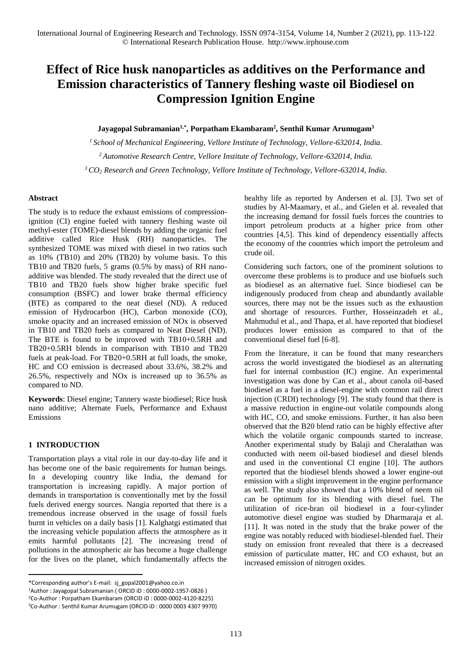# **Effect of Rice husk nanoparticles as additives on the Performance and Emission characteristics of Tannery fleshing waste oil Biodiesel on Compression Ignition Engine**

## **Jayagopal Subramanian1,\* , Porpatham Ekambaram<sup>2</sup> , Senthil Kumar Arumugam<sup>3</sup>**

*<sup>1</sup>School of Mechanical Engineering, Vellore Institute of Technology, Vellore-632014, India. <sup>2</sup>Automotive Research Centre, Vellore Institute of Technology, Vellore-632014, India. <sup>3</sup>CO<sup>2</sup> Research and Green Technology, Vellore Institute of Technology, Vellore-632014, India.*

#### **Abstract**

The study is to reduce the exhaust emissions of compressionignition (CI) engine fueled with tannery fleshing waste oil methyl-ester (TOME)-diesel blends by adding the organic fuel additive called Rice Husk (RH) nanoparticles. The synthesized TOME was mixed with diesel in two ratios such as 10% (TB10) and 20% (TB20) by volume basis. To this TB10 and TB20 fuels, 5 grams (0.5% by mass) of RH nanoadditive was blended. The study revealed that the direct use of TB10 and TB20 fuels show higher brake specific fuel consumption (BSFC) and lower brake thermal efficiency (BTE) as compared to the neat diesel (ND). A reduced emission of Hydrocarbon (HC), Carbon monoxide (CO), smoke opacity and an increased emission of NOx is observed in TB10 and TB20 fuels as compared to Neat Diesel (ND). The BTE is found to be improved with TB10+0.5RH and TB20+0.5RH blends in comparison with TB10 and TB20 fuels at peak-load. For TB20+0.5RH at full loads, the smoke, HC and CO emission is decreased about 33.6%, 38.2% and 26.5%, respectively and NOx is increased up to 36.5% as compared to ND.

**Keywords**: Diesel engine; Tannery waste biodiesel; Rice husk nano additive; Alternate Fuels, Performance and Exhaust Emissions

# **1 INTRODUCTION**

1

Transportation plays a vital role in our day-to-day life and it has become one of the basic requirements for human beings. In a developing country like India, the demand for transportation is increasing rapidly. A major portion of demands in transportation is conventionally met by the fossil fuels derived energy sources. Nangia reported that there is a tremendous increase observed in the usage of fossil fuels burnt in vehicles on a daily basis [1]. Kalghatgi estimated that the increasing vehicle population affects the atmosphere as it emits harmful pollutants [2]. The increasing trend of pollutions in the atmospheric air has become a huge challenge for the lives on the planet, which fundamentally affects the

\*Corresponding author's E-mail: sj\_gopal2001@yahoo.co.in

<sup>1</sup>Author : Jayagopal Subramanian ( ORCID iD : 0000-0002-1957-0826 ) <sup>2</sup>Co-Author : Porpatham Ekambaram (ORCID iD : 0000-0002-4120-8225)

<sup>3</sup>Co-Author : Senthil Kumar Arumugam (ORCID iD : 0000 0003 4307 9970)

healthy life as reported by Andersen et al. [3]. Two set of studies by Al-Maamary, et al., and Gielen et al. revealed that the increasing demand for fossil fuels forces the countries to import petroleum products at a higher price from other countries [4,5]. This kind of dependency essentially affects the economy of the countries which import the petroleum and crude oil.

Considering such factors, one of the prominent solutions to overcome these problems is to produce and use biofuels such as biodiesel as an alternative fuel. Since biodiesel can be indigenously produced from cheap and abundantly available sources, there may not be the issues such as the exhaustion and shortage of resources. Further, Hosseinzadeh et al., Mahmudul et al., and Thapa, et al. have reported that biodiesel produces lower emission as compared to that of the conventional diesel fuel [6-8].

From the literature, it can be found that many researchers across the world investigated the biodiesel as an alternating fuel for internal combustion (IC) engine. An experimental investigation was done by Can et al., about canola oil-based biodiesel as a fuel in a diesel-engine with common rail direct injection (CRDI) technology [9]. The study found that there is a massive reduction in engine-out volatile compounds along with HC, CO, and smoke emissions. Further, it has also been observed that the B20 blend ratio can be highly effective after which the volatile organic compounds started to increase. Another experimental study by Balaji and Cheralathan was conducted with neem oil-based biodiesel and diesel blends and used in the conventional CI engine [10]. The authors reported that the biodiesel blends showed a lower engine-out emission with a slight improvement in the engine performance as well. The study also showed that a 10% blend of neem oil can be optimum for its blending with diesel fuel. The utilization of rice-bran oil biodiesel in a four-cylinder automotive diesel engine was studied by Dharmaraja et al. [11]. It was noted in the study that the brake power of the engine was notably reduced with biodiesel-blended fuel. Their study on emission front revealed that there is a decreased emission of particulate matter, HC and CO exhaust, but an increased emission of nitrogen oxides.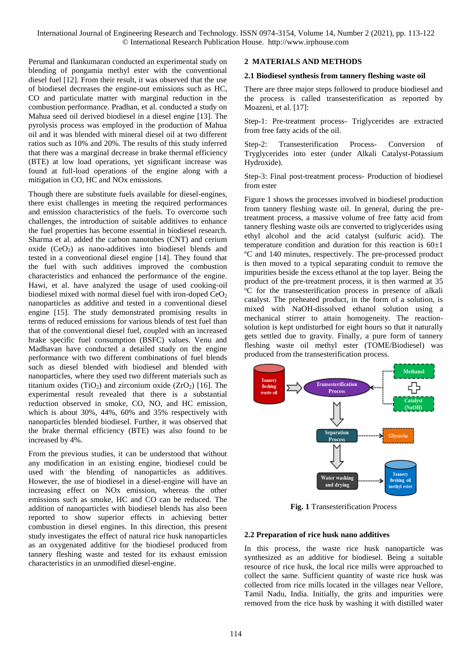Perumal and Ilankumaran conducted an experimental study on blending of pongamia methyl ester with the conventional diesel fuel [12]. From their result, it was observed that the use of biodiesel decreases the engine-out emissions such as HC, CO and particulate matter with marginal reduction in the combustion performance. Pradhan, et al. conducted a study on Mahua seed oil derived biodiesel in a diesel engine [13]. The pyrolysis process was employed in the production of Mahua oil and it was blended with mineral diesel oil at two different ratios such as 10% and 20%. The results of this study inferred that there was a marginal decrease in brake thermal efficiency (BTE) at low load operations, yet significant increase was found at full-load operations of the engine along with a mitigation in CO, HC and NOx emissions.

Though there are substitute fuels available for diesel-engines, there exist challenges in meeting the required performances and emission characteristics of the fuels. To overcome such challenges, the introduction of suitable additives to enhance the fuel properties has become essential in biodiesel research. Sharma et al. added the carbon nanotubes (CNT) and cerium oxide  $(CeO<sub>2</sub>)$  as nano-additives into biodiesel blends and tested in a conventional diesel engine [14]. They found that the fuel with such additives improved the combustion characteristics and enhanced the performance of the engine. Hawi, et al. have analyzed the usage of used cooking-oil biodiesel mixed with normal diesel fuel with iron-doped CeO<sub>2</sub> nanoparticles as additive and tested in a conventional diesel engine [15]. The study demonstrated promising results in terms of reduced emissions for various blends of test fuel than that of the conventional diesel fuel, coupled with an increased brake specific fuel consumption (BSFC) values. Venu and Madhavan have conducted a detailed study on the engine performance with two different combinations of fuel blends such as diesel blended with biodiesel and blended with nanoparticles, where they used two different materials such as titanium oxides (TiO<sub>2</sub>) and zirconium oxide (ZrO<sub>2</sub>) [16]. The experimental result revealed that there is a substantial reduction observed in smoke, CO, NO, and HC emission, which is about 30%, 44%, 60% and 35% respectively with nanoparticles blended biodiesel. Further, it was observed that the brake thermal efficiency (BTE) was also found to be increased by 4%.

From the previous studies, it can be understood that without any modification in an existing engine, biodiesel could be used with the blending of nanoparticles as additives. However, the use of biodiesel in a diesel-engine will have an increasing effect on NOx emission, whereas the other emissions such as smoke, HC and CO can be reduced. The addition of nanoparticles with biodiesel blends has also been reported to show superior effects in achieving better combustion in diesel engines. In this direction, this present study investigates the effect of natural rice husk nanoparticles as an oxygenated additive for the biodiesel produced from tannery fleshing waste and tested for its exhaust emission characteristics in an unmodified diesel-engine.

## **2 MATERIALS AND METHODS**

#### **2.1 Biodiesel synthesis from tannery fleshing waste oil**

There are three major steps followed to produce biodiesel and the process is called transesterification as reported by Moazeni, et al. [17]:

Step-1: Pre-treatment process- Triglycerides are extracted from free fatty acids of the oil.

Step-2: Transesterification Process- Conversion of Tryglycerides into ester (under Alkali Catalyst-Potassium Hydroxide).

Step-3: Final post-treatment process- Production of biodiesel from ester

Figure 1 shows the processes involved in biodiesel production from tannery fleshing waste oil. In general, during the pretreatment process, a massive volume of free fatty acid from tannery fleshing waste oils are converted to triglycerides using ethyl alcohol and the acid catalyst (sulfuric acid). The temperature condition and duration for this reaction is  $60±1$ ºC and 140 minutes, respectively. The pre-processed product is then moved to a typical separating conduit to remove the impurities beside the excess ethanol at the top layer. Being the product of the pre-treatment process, it is then warmed at 35 <sup>o</sup>C for the transesterification process in presence of alkali catalyst. The preheated product, in the form of a solution, is mixed with NaOH-dissolved ethanol solution using a mechanical stirrer to attain homogeneity. The reactionsolution is kept undisturbed for eight hours so that it naturally gets settled due to gravity. Finally, a pure form of tannery fleshing waste oil methyl ester (TOME/Biodiesel) was produced from the transesterification process.



**Fig. 1** Transesterification Process

#### **2.2 Preparation of rice husk nano additives**

In this process, the waste rice husk nanoparticle was synthesized as an additive for biodiesel. Being a suitable resource of rice husk, the local rice mills were approached to collect the same. Sufficient quantity of waste rice husk was collected from rice mills located in the villages near Vellore, Tamil Nadu, India. Initially, the grits and impurities were removed from the rice husk by washing it with distilled water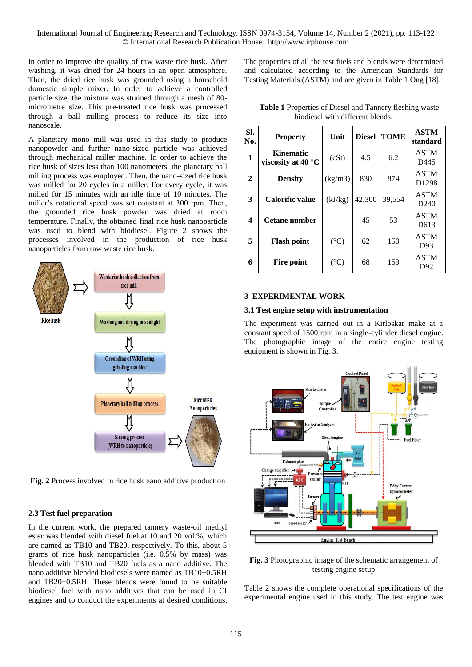in order to improve the quality of raw waste rice husk. After washing, it was dried for 24 hours in an open atmosphere. Then, the dried rice husk was grounded using a household domestic simple mixer. In order to achieve a controlled particle size, the mixture was strained through a mesh of 80 micrometre size. This pre-treated rice husk was processed through a ball milling process to reduce its size into nanoscale.

A planetary mono mill was used in this study to produce nanopowder and further nano-sized particle was achieved through mechanical miller machine. In order to achieve the rice husk of sizes less than 100 nanometers, the planetary ball milling process was employed. Then, the nano-sized rice husk was milled for 20 cycles in a miller. For every cycle, it was milled for 15 minutes with an idle time of 10 minutes. The miller's rotational speed was set constant at 300 rpm. Then, the grounded rice husk powder was dried at room temperature. Finally, the obtained final rice husk nanoparticle was used to blend with biodiesel. Figure 2 shows the processes involved in the production of rice husk nanoparticles from raw waste rice husk.



**Fig. 2** Process involved in rice husk nano additive production

#### **2.3 Test fuel preparation**

In the current work, the prepared tannery waste-oil methyl ester was blended with diesel fuel at 10 and 20 vol.%, which are named as TB10 and TB20, respectively. To this, about 5 grams of rice husk nanoparticles (i.e. 0.5% by mass) was blended with TB10 and TB20 fuels as a nano additive. The nano additive blended biodiesels were named as TB10+0.5RH and TB20+0.5RH. These blends were found to be suitable biodiesel fuel with nano additives that can be used in CI engines and to conduct the experiments at desired conditions. The properties of all the test fuels and blends were determined and calculated according to the American Standards for Testing Materials (ASTM) and are given in Table 1 Ong [18].

**Table 1** Properties of Diesel and Tannery fleshing waste biodiesel with different blends.

| SI.<br>No. | <b>Property</b>                                 | Unit            | <b>Diesel</b> | <b>TOME</b> | <b>ASTM</b><br>standard          |
|------------|-------------------------------------------------|-----------------|---------------|-------------|----------------------------------|
| 1          | <b>Kinematic</b><br>viscosity at 40 $\degree$ C | (cSt)           | 4.5           | 6.2         | <b>ASTM</b><br>D445              |
| 2          | <b>Density</b>                                  | (kg/m3)         | 830           | 874         | <b>ASTM</b><br>D <sub>1298</sub> |
| 3          | Calorific value                                 | (kJ/kg)         | 42,300        | 39,554      | <b>ASTM</b><br>D <sub>240</sub>  |
| 4          | Cetane number                                   |                 | 45            | 53          | <b>ASTM</b><br>D613              |
| 5          | <b>Flash point</b>                              | $({}^{\circ}C)$ | 62            | 150         | <b>ASTM</b><br>D93               |
| 6          | Fire point                                      | $({}^{\circ}C)$ | 68            | 159         | <b>ASTM</b><br>D <sub>92</sub>   |

#### **3 EXPERIMENTAL WORK**

#### **3.1 Test engine setup with instrumentation**

The experiment was carried out in a Kirloskar make at a constant speed of 1500 rpm in a single-cylinder diesel engine. The photographic image of the entire engine testing equipment is shown in Fig. 3.



**Fig. 3** Photographic image of the schematic arrangement of testing engine setup

Table 2 shows the complete operational specifications of the experimental engine used in this study. The test engine was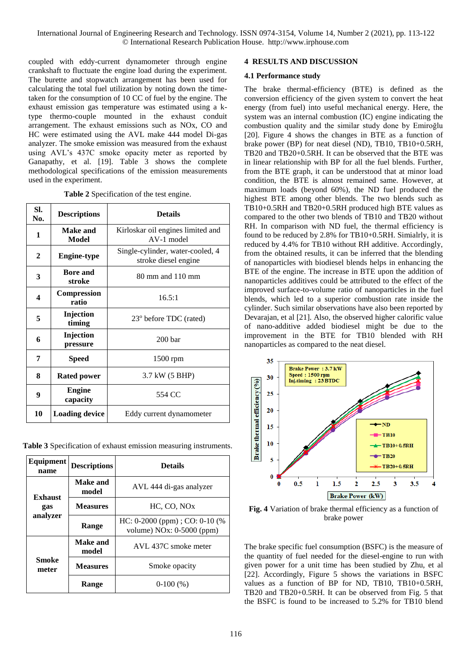coupled with eddy-current dynamometer through engine crankshaft to fluctuate the engine load during the experiment. The burette and stopwatch arrangement has been used for calculating the total fuel utilization by noting down the timetaken for the consumption of 10 CC of fuel by the engine. The exhaust emission gas temperature was estimated using a ktype thermo-couple mounted in the exhaust conduit arrangement. The exhaust emissions such as NOx, CO and HC were estimated using the AVL make 444 model Di-gas analyzer. The smoke emission was measured from the exhaust using AVL's 437C smoke opacity meter as reported by Ganapathy, et al. [19]. Table 3 shows the complete methodological specifications of the emission measurements used in the experiment.

|  | Table 2 Specification of the test engine. |  |  |
|--|-------------------------------------------|--|--|
|--|-------------------------------------------|--|--|

| SI.<br>No.              | <b>Descriptions</b>         | <b>Details</b>                                           |  |
|-------------------------|-----------------------------|----------------------------------------------------------|--|
| 1                       | Make and<br>Model           | Kirloskar oil engines limited and<br>AV-1 model          |  |
| $\mathbf{2}$            | <b>Engine-type</b>          | Single-cylinder, water-cooled, 4<br>stroke diesel engine |  |
| 3                       | <b>Bore</b> and<br>stroke   | $80 \text{ mm}$ and $110 \text{ mm}$                     |  |
| $\overline{\mathbf{4}}$ | <b>Compression</b><br>ratio | 16.5:1                                                   |  |
| 5                       | Injection<br>timing         | 23° before TDC (rated)                                   |  |
| 6                       | Injection<br>pressure       | 200 <sub>bar</sub>                                       |  |
| 7                       | <b>Speed</b>                | 1500 rpm                                                 |  |
| 8                       | <b>Rated power</b>          | 3.7 kW (5 BHP)                                           |  |
| 9                       | <b>Engine</b><br>capacity   | 554 CC                                                   |  |
| 10                      | <b>Loading device</b>       | Eddy current dynamometer                                 |  |

**Table 3** Specification of exhaust emission measuring instruments.

| Equipment<br>name | <b>Descriptions</b> | <b>Details</b>                                                   |  |
|-------------------|---------------------|------------------------------------------------------------------|--|
| <b>Exhaust</b>    | Make and<br>model   | AVL 444 di-gas analyzer                                          |  |
| gas               | <b>Measures</b>     | HC, CO, NO <sub>x</sub>                                          |  |
| analyzer          | Range               | HC: $0-2000$ (ppm); CO: $0-10$ (%<br>volume) $NOx: 0-5000$ (ppm) |  |
|                   | Make and<br>model   | AVL 437C smoke meter                                             |  |
| Smoke<br>meter    | <b>Measures</b>     | Smoke opacity                                                    |  |
|                   | Range               | $0-100(%)$                                                       |  |

#### **4 RESULTS AND DISCUSSION**

#### **4.1 Performance study**

The brake thermal-efficiency (BTE) is defined as the conversion efficiency of the given system to convert the heat energy (from fuel) into useful mechanical energy. Here, the system was an internal combustion (IC) engine indicating the combustion quality and the similar study done by Emiroğlu [20]. Figure 4 shows the changes in BTE as a function of brake power (BP) for neat diesel (ND), TB10, TB10+0.5RH, TB20 and TB20+0.5RH. It can be observed that the BTE was in linear relationship with BP for all the fuel blends. Further, from the BTE graph, it can be understood that at minor load condition, the BTE is almost remained same. However, at maximum loads (beyond 60%), the ND fuel produced the highest BTE among other blends. The two blends such as TB10+0.5RH and TB20+0.5RH produced high BTE values as compared to the other two blends of TB10 and TB20 without RH. In comparison with ND fuel, the thermal efficiency is found to be reduced by 2.8% for TB10+0.5RH. Simialrly, it is reduced by 4.4% for TB10 without RH additive. Accordingly, from the obtained results, it can be inferred that the blending of nanoparticles with biodiesel blends helps in enhancing the BTE of the engine. The increase in BTE upon the addition of nanoparticles additives could be attributed to the effect of the improved surface-to-volume ratio of nanoparticles in the fuel blends, which led to a superior combustion rate inside the cylinder. Such similar observations have also been reported by Devarajan, et al [21]. Also, the observed higher calorific value of nano-additive added biodiesel might be due to the improvement in the BTE for TB10 blended with RH nanoparticles as compared to the neat diesel.



**Fig. 4** Variation of brake thermal efficiency as a function of brake power

The brake specific fuel consumption (BSFC) is the measure of the quantity of fuel needed for the diesel-engine to run with given power for a unit time has been studied by Zhu, et al [22]. Accordingly, Figure 5 shows the variations in BSFC values as a function of BP for ND, TB10, TB10+0.5RH, TB20 and TB20+0.5RH. It can be observed from Fig. 5 that the BSFC is found to be increased to 5.2% for TB10 blend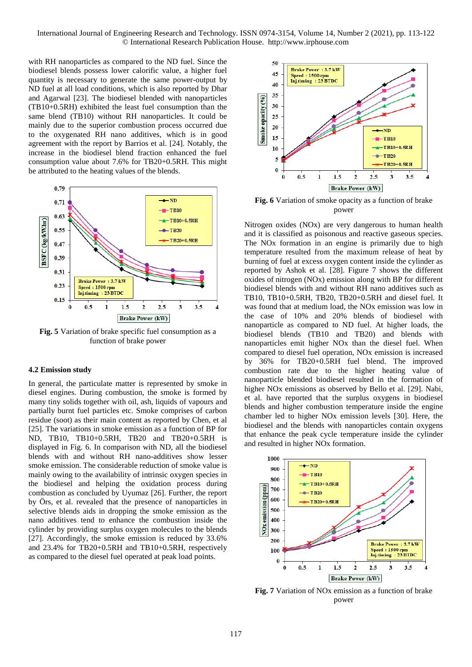with RH nanoparticles as compared to the ND fuel. Since the biodiesel blends possess lower calorific value, a higher fuel quantity is necessary to generate the same power-output by ND fuel at all load conditions, which is also reported by Dhar and Agarwal [23]. The biodiesel blended with nanoparticles (TB10+0.5RH) exhibited the least fuel consumption than the same blend (TB10) without RH nanoparticles. It could be mainly due to the superior combustion process occurred due to the oxygenated RH nano additives, which is in good agreement with the report by Barrios et al. [24]. Notably, the increase in the biodiesel blend fraction enhanced the fuel consumption value about 7.6% for TB20+0.5RH. This might be attributed to the heating values of the blends.



**Fig. 5** Variation of brake specific fuel consumption as a function of brake power

#### **4.2 Emission study**

In general, the particulate matter is represented by smoke in diesel engines. During combustion, the smoke is formed by many tiny solids together with oil, ash, liquids of vapours and partially burnt fuel particles etc. Smoke comprises of carbon residue (soot) as their main content as reported by Chen, et al [25]. The variations in smoke emission as a function of BP for ND, TB10, TB10+0.5RH, TB20 and TB20+0.5RH is displayed in Fig. 6. In comparison with ND, all the biodiesel blends with and without RH nano-additives show lesser smoke emission. The considerable reduction of smoke value is mainly owing to the availability of intrinsic oxygen species in the biodiesel and helping the oxidation process during combustion as concluded by Uyumaz [26]. Further, the report by Örs, et al. revealed that the presence of nanoparticles in selective blends aids in dropping the smoke emission as the nano additives tend to enhance the combustion inside the cylinder by providing surplus oxygen molecules to the blends [27]. Accordingly, the smoke emission is reduced by 33.6% and 23.4% for TB20+0.5RH and TB10+0.5RH, respectively as compared to the diesel fuel operated at peak load points.



**Fig. 6** Variation of smoke opacity as a function of brake power

Nitrogen oxides (NOx) are very dangerous to human health and it is classified as poisonous and reactive gaseous species. The NOx formation in an engine is primarily due to high temperature resulted from the maximum release of heat by burning of fuel at excess oxygen content inside the cylinder as reported by Ashok et al. [28]. Figure 7 shows the different oxides of nitrogen (NOx) emission along with BP for different biodiesel blends with and without RH nano additives such as TB10, TB10+0.5RH, TB20, TB20+0.5RH and diesel fuel. It was found that at medium load, the NOx emission was low in the case of 10% and 20% blends of biodiesel with nanoparticle as compared to ND fuel. At higher loads, the biodiesel blends (TB10 and TB20) and blends with nanoparticles emit higher NOx than the diesel fuel. When compared to diesel fuel operation, NOx emission is increased by 36% for TB20+0.5RH fuel blend. The improved combustion rate due to the higher heating value of nanoparticle blended biodiesel resulted in the formation of higher NOx emissions as observed by Bello et al. [29]. Nabi, et al. have reported that the surplus oxygens in biodiesel blends and higher combustion temperature inside the engine chamber led to higher NOx emission levels [30]. Here, the biodiesel and the blends with nanoparticles contain oxygens that enhance the peak cycle temperature inside the cylinder and resulted in higher NOx formation.



**Fig. 7** Variation of NOx emission as a function of brake power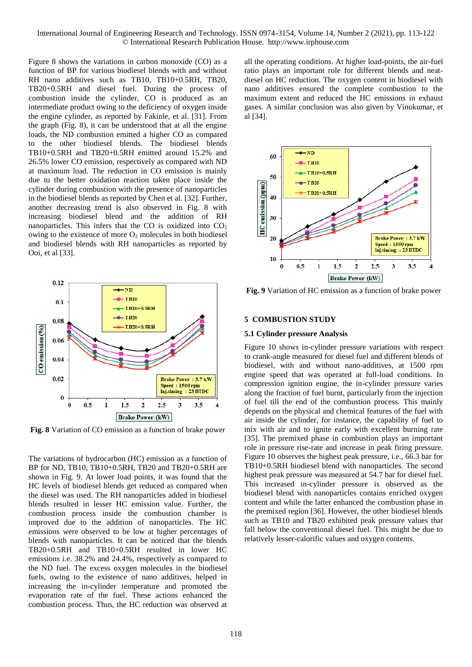Figure 8 shows the variations in carbon monoxide (CO) as a function of BP for various biodiesel blends with and without RH nano additives such as TB10, TB10+0.5RH, TB20, TB20+0.5RH and diesel fuel. During the process of combustion inside the cylinder, CO is produced as an intermediate product owing to the deficiency of oxygen inside the engine cylinder, as reported by Fakinle, et al. [31]. From the graph (Fig. 8), it can be understood that at all the engine loads, the ND combustion emitted a higher CO as compared to the other biodiesel blends. The biodiesel blends TB10+0.5RH and TB20+0.5RH emitted around 15.2% and 26.5% lower CO emission, respectively as compared with ND at maximum load. The reduction in CO emission is mainly due to the better oxidation reaction taken place inside the cylinder during combustion with the presence of nanoparticles in the biodiesel blends as reported by Chen et al. [32]. Further, another decreasing trend is also observed in Fig. 8 with increasing biodiesel blend and the addition of RH nanoparticles. This infers that the CO is oxidized into  $CO<sub>2</sub>$ owing to the existence of more  $O_2$  molecules in both biodiesel and biodiesel blends with RH nanoparticles as reported by Ooi, et al [33].



**Fig. 8** Variation of CO emission as a function of brake power

The variations of hydrocarbon (HC) emission as a function of BP for ND, TB10, TB10+0.5RH, TB20 and TB20+0.5RH are shown in Fig. 9. At lower load points, it was found that the HC levels of biodiesel blends get reduced as compared when the diesel was used. The RH nanoparticles added in biodiesel blends resulted in lesser HC emission value. Further, the combustion process inside the combustion chamber is improved due to the addition of nanoparticles. The HC emissions were observed to be low at higher percentages of blends with nanoparticles. It can be noticed that the blends TB20+0.5RH and TB10+0.5RH resulted in lower HC emissions i.e. 38.2% and 24.4%, respectively as compared to the ND fuel. The excess oxygen molecules in the biodiesel fuels, owing to the existence of nano additives, helped in increasing the in-cylinder temperature and promoted the evaporation rate of the fuel. These actions enhanced the combustion process. Thus, the HC reduction was observed at all the operating conditions. At higher load-points, the air-fuel ratio plays an important role for different blends and neatdiesel on HC reduction. The oxygen content in biodiesel with nano additives ensured the complete combustion to the maximum extent and reduced the HC emissions in exhaust gases. A similar conclusion was also given by Vinukumar, et al [34].



**Fig. 9** Variation of HC emission as a function of brake power

#### **5 COMBUSTION STUDY**

#### **5.1 Cylinder pressure Analysis**

Figure 10 shows in-cylinder pressure variations with respect to crank-angle measured for diesel fuel and different blends of biodiesel, with and without nano-additives, at 1500 rpm engine speed that was operated at full-load conditions. In compression ignition engine, the in-cylinder pressure varies along the fraction of fuel burnt, particularly from the injection of fuel till the end of the combustion process. This mainly depends on the physical and chemical features of the fuel with air inside the cylinder, for instance, the capability of fuel to mix with air and to ignite early with excellent burning rate [35]. The premixed phase in combustion plays an important role in pressure rise-rate and increase in peak firing pressure. Figure 10 observes the highest peak pressure, i.e., 66.3 bar for TB10+0.5RH biodiesel blend with nanoparticles. The second highest peak pressure was measured at 54.7 bar for diesel fuel. This increased in-cylinder pressure is observed as the biodiesel blend with nanoparticles contains enriched oxygen content and while the latter enhanced the combustion phase in the premixed region [36]. However, the other biodiesel blends such as TB10 and TB20 exhibited peak pressure values that fall below the conventional diesel fuel. This might be due to relatively lesser-calorific values and oxygen contents.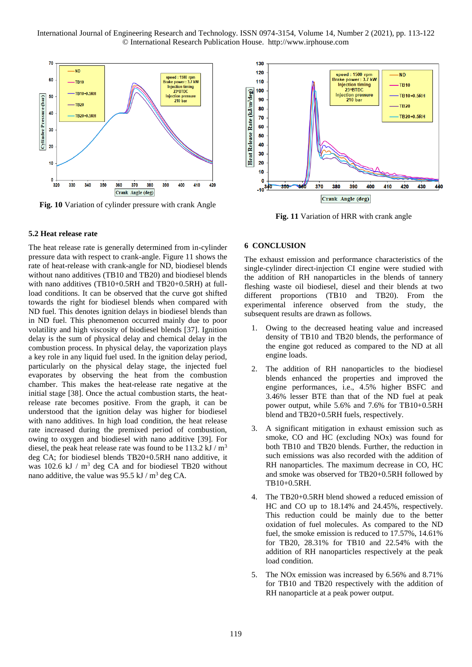International Journal of Engineering Research and Technology. ISSN 0974-3154, Volume 14, Number 2 (2021), pp. 113-122 © International Research Publication House. http://www.irphouse.com



**Fig. 10** Variation of cylinder pressure with crank Angle

#### **5.2 Heat release rate**

The heat release rate is generally determined from in-cylinder pressure data with respect to crank-angle. Figure 11 shows the rate of heat-release with crank-angle for ND, biodiesel blends without nano additives (TB10 and TB20) and biodiesel blends with nano additives (TB10+0.5RH and TB20+0.5RH) at fullload conditions. It can be observed that the curve got shifted towards the right for biodiesel blends when compared with ND fuel. This denotes ignition delays in biodiesel blends than in ND fuel. This phenomenon occurred mainly due to poor volatility and high viscosity of biodiesel blends [37]. Ignition delay is the sum of physical delay and chemical delay in the combustion process. In physical delay, the vaporization plays a key role in any liquid fuel used. In the ignition delay period, particularly on the physical delay stage, the injected fuel evaporates by observing the heat from the combustion chamber. This makes the heat-release rate negative at the initial stage [38]. Once the actual combustion starts, the heatrelease rate becomes positive. From the graph, it can be understood that the ignition delay was higher for biodiesel with nano additives. In high load condition, the heat release rate increased during the premixed period of combustion, owing to oxygen and biodiesel with nano additive [39]. For diesel, the peak heat release rate was found to be 113.2 kJ  $/m<sup>3</sup>$ deg CA; for biodiesel blends TB20+0.5RH nano additive, it was  $102.6 \text{ kJ}$  /  $\text{m}^3$  deg CA and for biodiesel TB20 without nano additive, the value was 95.5 kJ /  $m^3$  deg CA.



**Fig. 11** Variation of HRR with crank angle

#### **6 CONCLUSION**

The exhaust emission and performance characteristics of the single-cylinder direct-injection CI engine were studied with the addition of RH nanoparticles in the blends of tannery fleshing waste oil biodiesel, diesel and their blends at two different proportions (TB10 and TB20). From the experimental inference observed from the study, the subsequent results are drawn as follows.

- 1. Owing to the decreased heating value and increased density of TB10 and TB20 blends, the performance of the engine got reduced as compared to the ND at all engine loads.
- 2. The addition of RH nanoparticles to the biodiesel blends enhanced the properties and improved the engine performances, i.e., 4.5% higher BSFC and 3.46% lesser BTE than that of the ND fuel at peak power output, while 5.6% and 7.6% for TB10+0.5RH blend and TB20+0.5RH fuels, respectively.
- 3. A significant mitigation in exhaust emission such as smoke, CO and HC (excluding NOx) was found for both TB10 and TB20 blends. Further, the reduction in such emissions was also recorded with the addition of RH nanoparticles. The maximum decrease in CO, HC and smoke was observed for TB20+0.5RH followed by TB10+0.5RH.
- 4. The TB20+0.5RH blend showed a reduced emission of HC and CO up to 18.14% and 24.45%, respectively. This reduction could be mainly due to the better oxidation of fuel molecules. As compared to the ND fuel, the smoke emission is reduced to 17.57%, 14.61% for TB20, 28.31% for TB10 and 22.54% with the addition of RH nanoparticles respectively at the peak load condition.
- 5. The NOx emission was increased by 6.56% and 8.71% for TB10 and TB20 respectively with the addition of RH nanoparticle at a peak power output.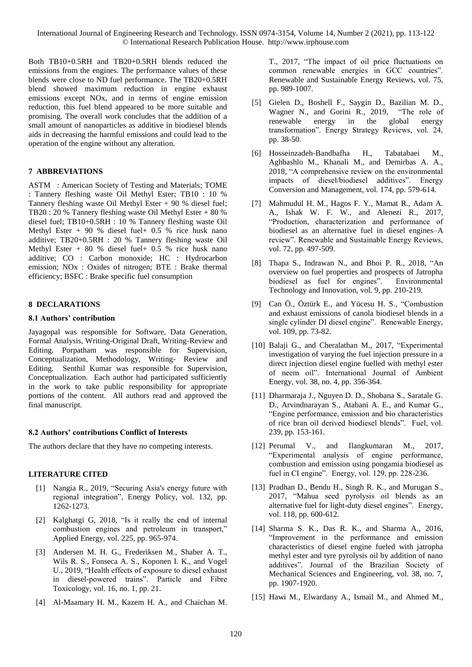Both TB10+0.5RH and TB20+0.5RH blends reduced the emissions from the engines. The performance values of these blends were close to ND fuel performance. The TB20+0.5RH blend showed maximum reduction in engine exhaust emissions except NOx, and in terms of engine emission reduction, this fuel blend appeared to be more suitable and promising. The overall work concludes that the addition of a small amount of nanoparticles as additive in biodiesel blends aids in decreasing the harmful emissions and could lead to the operation of the engine without any alteration.

# **7 ABBREVIATIONS**

ASTM : American Society of Testing and Materials; TOME : Tannery fleshing waste Oil Methyl Ester; TB10 : 10 % Tannery fleshing waste Oil Methyl Ester + 90 % diesel fuel; TB20 : 20 % Tannery fleshing waste Oil Methyl Ester + 80 % diesel fuel; TB10+0.5RH : 10 % Tannery fleshing waste Oil Methyl Ester  $+90\%$  diesel fuel $+0.5\%$  rice husk nano additive; TB20+0.5RH : 20 % Tannery fleshing waste Oil Methyl Ester + 80 % diesel fuel+ 0.5 % rice husk nano additive; CO : Carbon monoxide; HC : Hydrocarbon emission; NOx : Oxides of nitrogen; BTE : Brake thermal efficiency; BSFC : Brake specific fuel consumption

# **8 DECLARATIONS**

# **8.1 Authors' contribution**

Jayagopal was responsible for Software, Data Generation, Formal Analysis, Writing-Original Draft, Writing-Review and Editing. Porpatham was responsible for Supervision, Conceptualization, Methodology, Writing- Review and Editing. Senthil Kumar was responsible for Supervision, Conceptualization. Each author had participated sufficiently in the work to take public responsibility for appropriate portions of the content. All authors read and approved the final manuscript.

# **8.2 Authors' contributions Conflict of Interests**

The authors declare that they have no competing interests.

# **LITERATURE CITED**

- [1] Nangia R., 2019, "Securing Asia's energy future with regional integration", Energy Policy, vol. 132, pp. 1262-1273.
- [2] Kalghatgi G, 2018, "Is it really the end of internal combustion engines and petroleum in transport," Applied Energy, vol. 225, pp. 965-974.
- [3] Andersen M. H. G., Frederiksen M., Shaber A. T., Wils R. S., Fonseca A. S., Koponen I. K., and Vogel U., 2019, "Health effects of exposure to diesel exhaust in diesel-powered trains". Particle and Fibre Toxicology, vol. 16, no. 1, pp. 21.
- [4] Al-Maamary H. M., Kazem H. A., and Chaichan M.

T., 2017, "The impact of oil price fluctuations on common renewable energies in GCC countries". Renewable and Sustainable Energy Reviews, vol. 75, pp. 989-1007.

- [5] Gielen D., Boshell F., Saygin D., Bazilian M. D., Wagner N., and Gorini R., 2019, "The role of renewable energy in the global energy transformation". Energy Strategy Reviews, vol. 24, pp. 38-50.
- [6] Hosseinzadeh-Bandbafha H., Tabatabaei M., Aghbashlo M., Khanali M., and Demirbas A. A., 2018, "A comprehensive review on the environmental impacts of diesel/biodiesel additives". Energy Conversion and Management, vol. 174, pp. 579-614.
- [7] Mahmudul H. M., Hagos F. Y., Mamat R., Adam A. A., Ishak W. F. W., and Alenezi R., 2017, "Production, characterization and performance of biodiesel as an alternative fuel in diesel engines–A review". Renewable and Sustainable Energy Reviews, vol. 72, pp. 497-509.
- [8] Thapa S., Indrawan N., and Bhoi P. R., 2018, "An overview on fuel properties and prospects of Jatropha biodiesel as fuel for engines". Environmental Technology and Innovation, vol. 9, pp. 210-219.
- [9] Can Ö., Öztürk E., and Yücesu H. S., "Combustion and exhaust emissions of canola biodiesel blends in a single cylinder DI diesel engine". Renewable Energy, vol. 109, pp. 73-82.
- [10] Balaji G., and Cheralathan M., 2017, "Experimental investigation of varying the fuel injection pressure in a direct injection diesel engine fuelled with methyl ester of neem oil". International Journal of Ambient Energy, vol. 38, no. 4, pp. 356-364.
- [11] Dharmaraja J., Nguyen D. D., Shobana S., Saratale G. D., Arvindnarayan S., Atabani A. E., and Kumar G., "Engine performance, emission and bio characteristics of rice bran oil derived biodiesel blends". Fuel, vol. 239, pp. 153-161.
- [12] Perumal V., and Ilangkumaran M., 2017, "Experimental analysis of engine performance, combustion and emission using pongamia biodiesel as fuel in CI engine". Energy, vol. 129, pp. 228-236.
- [13] Pradhan D., Bendu H., Singh R. K., and Murugan S., 2017, "Mahua seed pyrolysis oil blends as an alternative fuel for light-duty diesel engines". Energy, vol. 118, pp. 600-612.
- [14] Sharma S. K., Das R. K., and Sharma A., 2016, "Improvement in the performance and emission characteristics of diesel engine fueled with jatropha methyl ester and tyre pyrolysis oil by addition of nano additives". Journal of the Brazilian Society of Mechanical Sciences and Engineering, vol. 38, no. 7, pp. 1907-1920.
- [15] Hawi M., Elwardany A., Ismail M., and Ahmed M.,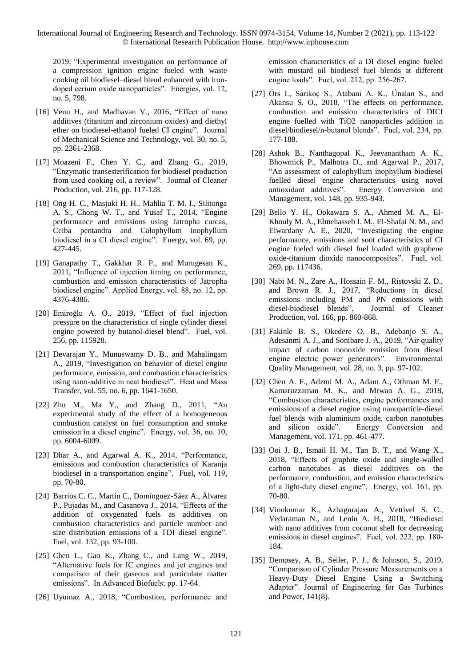2019, "Experimental investigation on performance of a compression ignition engine fueled with waste cooking oil biodiesel–diesel blend enhanced with irondoped cerium oxide nanoparticles". Energies, vol. 12, no. 5, 798.

- [16] Venu H., and Madhavan V., 2016, "Effect of nano additives (titanium and zirconium oxides) and diethyl ether on biodiesel-ethanol fueled CI engine". Journal of Mechanical Science and Technology, vol. 30, no. 5, pp. 2361-2368.
- [17] Moazeni F., Chen Y. C., and Zhang G., 2019, "Enzymatic transesterification for biodiesel production from used cooking oil, a review". Journal of Cleaner Production, vol. 216, pp. 117-128.
- [18] Ong H. C., Masjuki H. H., Mahlia T. M. I., Silitonga A. S., Chong W. T., and Yusaf T., 2014, "Engine performance and emissions using Jatropha curcas, Ceiba pentandra and Calophyllum inophyllum biodiesel in a CI diesel engine". Energy, vol. 69, pp. 427-445.
- [19] Ganapathy T., Gakkhar R. P., and Murugesan K., 2011, "Influence of injection timing on performance, combustion and emission characteristics of Jatropha biodiesel engine". Applied Energy, vol. 88, no. 12, pp. 4376-4386.
- [20] Emiroğlu A. O., 2019, "Effect of fuel injection pressure on the characteristics of single cylinder diesel engine powered by butanol-diesel blend". Fuel, vol. 256, pp. 115928.
- [21] Devarajan Y., Munuswamy D. B., and Mahalingam A., 2019, "Investigation on behavior of diesel engine performance, emission, and combustion characteristics using nano-additive in neat biodiesel". Heat and Mass Transfer, vol. 55, no. 6, pp. 1641-1650.
- [22] Zhu M., Ma Y., and Zhang D., 2011, "An experimental study of the effect of a homogeneous combustion catalyst on fuel consumption and smoke emission in a diesel engine". Energy, vol. 36, no. 10, pp. 6004-6009.
- [23] Dhar A., and Agarwal A. K., 2014, "Performance, emissions and combustion characteristics of Karanja biodiesel in a transportation engine". Fuel, vol. 119, pp. 70-80.
- [24] Barrios C. C., Martín C., Domínguez-Sáez A., Álvarez P., Pujadas M., and Casanova J., 2014, "Effects of the addition of oxygenated fuels as additives on combustion characteristics and particle number and size distribution emissions of a TDI diesel engine". Fuel, vol. 132, pp. 93-100.
- [25] Chen L., Gao K., Zhang C., and Lang W., 2019, "Alternative fuels for IC engines and jet engines and comparison of their gaseous and particulate matter emissions". In Advanced Biofuels; pp. 17-64.
- [26] Uyumaz A., 2018, "Combustion, performance and

emission characteristics of a DI diesel engine fueled with mustard oil biodiesel fuel blends at different engine loads". Fuel, vol. 212, pp. 256-267.

- [27] Örs I., Sarıkoç S., Atabani A. K., Ünalan S., and Akansu S. O., 2018, "The effects on performance, combustion and emission characteristics of DICI engine fuelled with TiO2 nanoparticles addition in diesel/biodiesel/n-butanol blends". Fuel, vol. 234, pp. 177-188.
- [28] Ashok B., Nanthagopal K., Jeevanantham A. K., Bhowmick P., Malhotra D., and Agarwal P., 2017, "An assessment of calophyllum inophyllum biodiesel fuelled diesel engine characteristics using novel antioxidant additives". Energy Conversion and Management, vol. 148, pp. 935-943.
- [29] Bello Y. H., Ookawara S. A., Ahmed M. A., El-Khouly M. A., Elmehasseb I. M., El-Shafai N. M., and Elwardany A. E., 2020, "Investigating the engine performance, emissions and soot characteristics of CI engine fueled with diesel fuel loaded with graphene oxide-titanium dioxide nanocomposites". Fuel, vol. 269, pp. 117436.
- [30] Nabi M. N., Zare A., Hossain F. M., Ristovski Z. D., and Brown R. J., 2017, "Reductions in diesel emissions including PM and PN emissions with diesel-biodiesel blends". Journal of Cleaner Production, vol. 166, pp. 860-868.
- [31] Fakinle B. S., Okedere O. B., Adebanjo S. A., Adesanmi A. J., and Sonibare J. A., 2019, "Air quality impact of carbon monoxide emission from diesel engine electric power generators". Environmental Quality Management, vol. 28, no. 3, pp. 97-102.
- [32] Chen A. F., Adzmi M. A., Adam A., Othman M. F., Kamaruzzaman M. K., and Mrwan A. G., 2018, "Combustion characteristics, engine performances and emissions of a diesel engine using nanoparticle-diesel fuel blends with aluminium oxide, carbon nanotubes and silicon oxide". Energy Conversion and Management, vol. 171, pp. 461-477.
- [33] Ooi J. B., Ismail H. M., Tan B. T., and Wang X., 2018, "Effects of graphite oxide and single-walled carbon nanotubes as diesel additives on the performance, combustion, and emission characteristics of a light-duty diesel engine". Energy, vol. 161, pp. 70-80.
- [34] Vinukumar K., Azhagurajan A., Vettivel S. C., Vedaraman N., and Lenin A. H., 2018, "Biodiesel with nano additives from coconut shell for decreasing emissions in diesel engines". Fuel, vol. 222, pp. 180- 184.
- [35] Dempsey, A. B., Seiler, P. J., & Johnson, S., 2019, "Comparison of Cylinder Pressure Measurements on a Heavy-Duty Diesel Engine Using a Switching Adapter". Journal of Engineering for Gas Turbines and Power, 141(8).